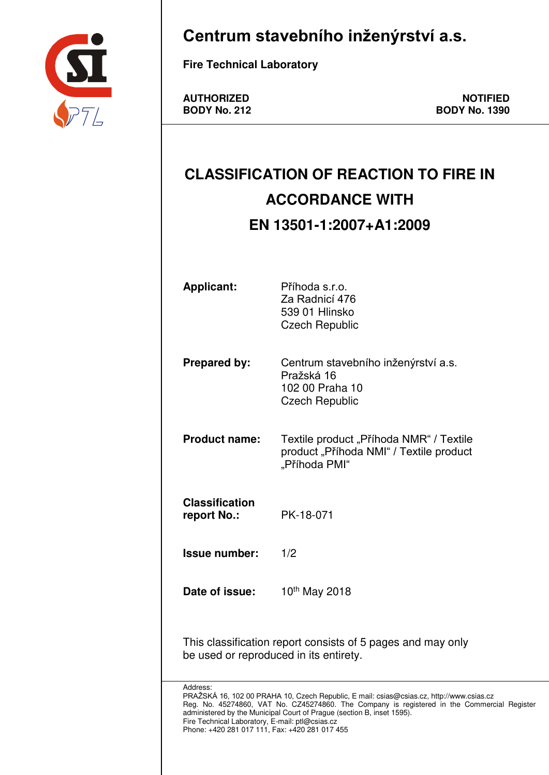

## **Centrum stavebního inženýrství a.s.**

AUTHORIZED **NOTIFIED**<br>BODY No. 212 **BODY No. 1390 BODY No. 1390** 

# **CLASSIFICATION OF REACTION TO FIRE IN ACCORDANCE WITH EN 13501-1:2007+A1:2009**

| <b>Applicant:</b>                                                                                             | Příhoda s.r.o.<br>Za Radnicí 476<br>539 01 Hlinsko<br><b>Czech Republic</b>                                                                                                                                                                                       |
|---------------------------------------------------------------------------------------------------------------|-------------------------------------------------------------------------------------------------------------------------------------------------------------------------------------------------------------------------------------------------------------------|
| <b>Prepared by:</b>                                                                                           | Centrum stavebního inženýrství a.s.<br>Pražská 16<br>102 00 Praha 10<br><b>Czech Republic</b>                                                                                                                                                                     |
| <b>Product name:</b>                                                                                          | Textile product "Příhoda NMR" / Textile<br>product "Příhoda NMI" / Textile product<br>"Příhoda PMI"                                                                                                                                                               |
| <b>Classification</b><br>report No.:                                                                          | PK-18-071                                                                                                                                                                                                                                                         |
| <b>Issue number:</b>                                                                                          | 1/2                                                                                                                                                                                                                                                               |
| Date of issue:                                                                                                | 10 <sup>th</sup> May 2018                                                                                                                                                                                                                                         |
| be used or reproduced in its entirety.                                                                        | This classification report consists of 5 pages and may only                                                                                                                                                                                                       |
| Address:<br>Fire Technical Laboratory, E-mail: ptl@csias.cz<br>Phone: +420 281 017 111, Fax: +420 281 017 455 | PRAŽSKÁ 16, 102 00 PRAHA 10, Czech Republic, E mail: csias@csias.cz, http://www.csias.cz<br>Reg. No. 45274860, VAT No. CZ45274860. The Company is registered in the Commercial Register<br>administered by the Municipal Court of Prague (section B, inset 1595). |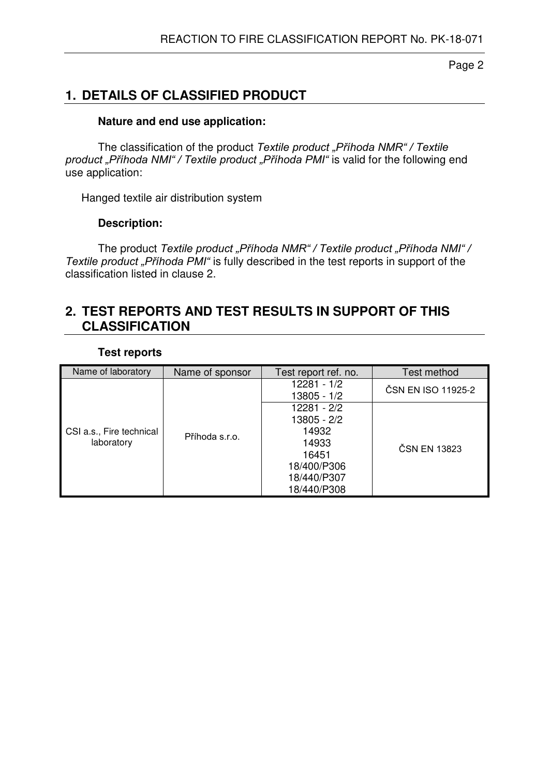### **1. DETAILS OF CLASSIFIED PRODUCT**

### **Nature and end use application:**

 The classification of the product *Textile product "Příhoda NMR" / Textile product "Příhoda NMI" / Textile product "Příhoda PMI"* is valid for the following end use application:

Hanged textile air distribution system

#### **Description:**

The product *Textile product "Příhoda NMR" / Textile product "Příhoda NMI" / Textile product "Příhoda PMI"* is fully described in the test reports in support of the classification listed in clause 2.

### **2. TEST REPORTS AND TEST RESULTS IN SUPPORT OF THIS CLASSIFICATION**

#### **Test reports**

| Name of laboratory                     | Name of sponsor | Test report ref. no.                                                                               | Test method        |
|----------------------------------------|-----------------|----------------------------------------------------------------------------------------------------|--------------------|
| CSI a.s., Fire technical<br>laboratory |                 | 12281 - 1/2<br>13805 - 1/2                                                                         | ČSN EN ISO 11925-2 |
|                                        | Příhoda s.r.o.  | 12281 - 2/2<br>13805 - 2/2<br>14932<br>14933<br>16451<br>18/400/P306<br>18/440/P307<br>18/440/P308 | ČSN EN 13823       |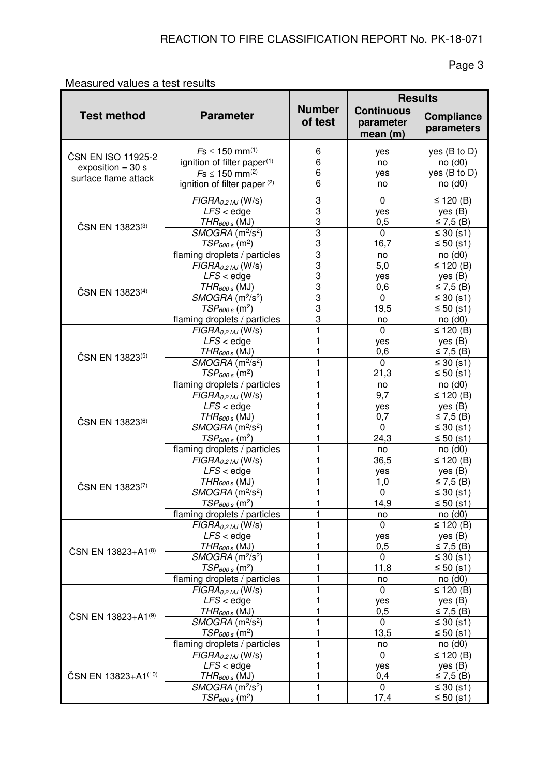### Measured values a test results

|                                                                   |                                                                                                                                                                                                               |                                                                   | <b>Results</b>                                                 |                                                                                        |  |
|-------------------------------------------------------------------|---------------------------------------------------------------------------------------------------------------------------------------------------------------------------------------------------------------|-------------------------------------------------------------------|----------------------------------------------------------------|----------------------------------------------------------------------------------------|--|
| <b>Test method</b>                                                | <b>Parameter</b>                                                                                                                                                                                              | <b>Number</b><br>of test                                          | <b>Continuous</b><br>parameter<br>mean(m)                      | <b>Compliance</b><br>parameters                                                        |  |
| ČSN EN ISO 11925-2<br>exposition = $30 s$<br>surface flame attack | $Fs \le 150$ mm <sup>(1)</sup><br>ignition of filter paper(1)<br>$Fs \le 150$ mm <sup>(2)</sup><br>ignition of filter paper <sup>(2)</sup>                                                                    | 6<br>6<br>6<br>6                                                  | yes<br>no<br>yes<br>no                                         | yes (B to D)<br>no(d0)<br>yes (B to D)<br>no(d0)                                       |  |
| ČSN EN 13823(3)                                                   | $FIGRA0,2$ MJ $(W/s)$<br>$LFS <$ edge<br>$THR_{600 s}$ (MJ)<br>$SMOGRA$ (m <sup>2</sup> /s <sup>2</sup> )                                                                                                     | 3<br>3<br>3<br>3                                                  | $\mathbf 0$<br>yes<br>0,5<br>$\mathbf 0$                       | ≤ 120 $(B)$<br>yes(B)<br>≤ 7,5 (B)<br>$\leq 30$ (s1)                                   |  |
| ČSN EN 13823 <sup>(4)</sup>                                       | $TSP600 s$ (m <sup>2</sup> )<br>flaming droplets / particles<br>$FIGRA_{0.2 MJ}$ (W/s)<br>$LFS <$ edge<br>$THR_{600 s}$ (MJ)<br>SMOGRA (m <sup>2</sup> /s <sup>2</sup> )                                      | 3<br>$\overline{3}$<br>$\overline{3}$<br>3<br>3<br>$\overline{3}$ | 16,7<br>no<br>5,0<br>yes<br>0,6<br>$\mathbf 0$                 | ≤ 50 $(s1)$<br>no(d0)<br>≤ 120 $(B)$<br>yes(B)<br>≤ 7,5 (B)                            |  |
|                                                                   | $TSP600 s$ (m <sup>2</sup> )<br>flaming droplets / particles<br>$FIGRA_{0.2 MJ}$ (W/s)                                                                                                                        | 3<br>$\overline{3}$<br>1                                          | 19,5<br>no<br>$\Omega$                                         | $\leq 30$ (s1)<br>≤ 50 $(s1)$<br>no(d0)<br>≤ 120 $(B)$                                 |  |
| ČSN EN 13823(5)                                                   | $LFS <$ edge<br>$THR_{600 s}$ (MJ)<br>$\overline{SMOGRA}$ (m <sup>2</sup> /s <sup>2</sup> )<br>$TSP600 s$ (m <sup>2</sup> )                                                                                   |                                                                   | yes<br>0,6<br>$\mathbf 0$<br>21,3                              | yes(B)<br>≤ 7,5 (B)<br>$\leq 30$ (s1)<br>≤ 50 $(s1)$                                   |  |
| ČSN EN 13823(6)                                                   | flaming droplets / particles<br>$FIGRA_{0,2MJ}$ (W/s)<br>$LFS <$ edge<br>$THR_{600 s}$ (MJ)<br>SMOGRA (m <sup>2</sup> /s <sup>2</sup> )<br>$TSP600 s$ (m <sup>2</sup> )                                       | 1<br>1                                                            | no<br>$\overline{9,7}$<br>yes<br>0,7<br>$\overline{0}$<br>24,3 | no(d0)<br>≤ 120 $(B)$<br>yes(B)<br>≤ 7,5 (B)<br>$\leq 30$ (s1)<br>≤ 50 $(s1)$          |  |
| ČSN EN 13823(7)                                                   | flaming droplets / particles<br>$\overline{FIGRA_{0.2\,MJ}}$ (W/s)<br>$LFS <$ edge<br>$THR_{600 s}$ (MJ)<br>SMOGRA (m <sup>2</sup> /s <sup>2</sup> )<br>$\mathit{TSP}_\mathit{600\,s}\,(\mathsf{m}^2)$        | 1<br>1<br>1                                                       | no<br>36,5<br>yes<br>1,0<br>0<br>14,9                          | no(d0)<br>$\overline{≤}$ 120 (B)<br>yes(B)<br>≤ 7,5 (B)<br>$\leq 30$ (s1)<br>≤ 50 (s1) |  |
| ČSN EN 13823+A1(8)                                                | flaming droplets / particles<br>$FIGRA_{0.2 MJ}$ (W/s)<br>$LFS <$ edge<br>$THR_{600 s}$ (MJ)<br>SMOGRA (m <sup>2</sup> /s <sup>2</sup> )<br>$TSP600 s$ (m <sup>2</sup> )                                      | 1<br>1                                                            | no<br>$\mathbf 0$<br>yes<br>0,5<br>0<br>11,8                   | no(d0)<br>≤ 120 $(B)$<br>yes(B)<br>≤ 7,5 (B)<br>$\leq 30$ (s1)<br>≤ 50 $(s1)$          |  |
| ČSN EN 13823+A1(9)                                                | flaming droplets / particles<br>$FIGRA_{0.2 MJ}$ (W/s)<br>$LFS <$ edge<br>$THR_{600 \, s}$ (MJ)<br>$SMOGRA$ (m <sup>2</sup> /s <sup>2</sup> )<br>$TSP600 s$ (m <sup>2</sup> )<br>flaming droplets / particles | 1                                                                 | no<br>$\mathbf 0$<br>yes<br>0,5<br>$\Omega$<br>13,5<br>no      | no(d0)<br>≤ 120 $(B)$<br>yes(B)<br>≤ 7,5 (B)<br>≤ 30 $(s1)$<br>≤ 50 $(s1)$<br>no(d0)   |  |
| ČSN EN 13823+A1(10)                                               | $FIGRA_{0,2MJ}$ (W/s)<br>$LFS <$ edge<br>$THR_{600 s}$ (MJ)<br>SMOGRA (m <sup>2</sup> /s <sup>2</sup> )<br>$\mathit{TSP}_{600\,s}\,(\mathsf{m}^2)$                                                            | 1<br>1                                                            | 0<br>yes<br>0,4<br>0<br>17,4                                   | ≤ 120 $(B)$<br>yes(B)<br>≤ 7,5 (B)<br>$\leq 30$ (s1)<br>≤ 50 $(s1)$                    |  |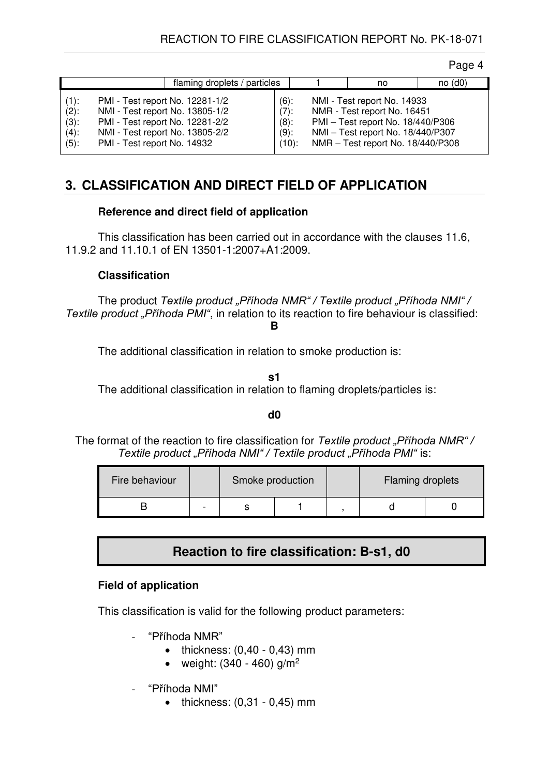| flaming droplets / particles                                                                                                                                                                |                                 |                                                      | no                                                                                                                                                                        | $no$ (d0) |
|---------------------------------------------------------------------------------------------------------------------------------------------------------------------------------------------|---------------------------------|------------------------------------------------------|---------------------------------------------------------------------------------------------------------------------------------------------------------------------------|-----------|
| PMI - Test report No. 12281-1/2<br>$(1)$ :<br>$(2)$ :<br>PMI - Test report No. 12281-2/2<br>$(3)$ :<br>NMI - Test report No. 13805-2/2<br>$(4)$ :<br>PMI - Test report No. 14932<br>$(5)$ : | NMI - Test report No. 13805-1/2 | $(6)$ :<br>$(7)$ :<br>$(8)$ :<br>$(9)$ :<br>$(10)$ : | NMI - Test report No. 14933<br>NMR - Test report No. 16451<br>PMI - Test report No. 18/440/P306<br>NMI - Test report No. 18/440/P307<br>NMR - Test report No. 18/440/P308 |           |

### **3. CLASSIFICATION AND DIRECT FIELD OF APPLICATION**

#### **Reference and direct field of application**

 This classification has been carried out in accordance with the clauses 11.6, 11.9.2 and 11.10.1 of EN 13501-1:2007+A1:2009.

#### **Classification**

 The product *Textile product "Příhoda NMR" / Textile product "Příhoda NMI" / Textile product "Příhoda PMI"*, in relation to its reaction to fire behaviour is classified: **B** 

The additional classification in relation to smoke production is:

**s1** 

The additional classification in relation to flaming droplets/particles is:

#### **d0**

The format of the reaction to fire classification for *Textile product* "*Příhoda NMR"* / *Textile product "Příhoda NMI" / Textile product "Příhoda PMI"* is:

| Fire behaviour |                          | Smoke production |  | Flaming droplets |  |
|----------------|--------------------------|------------------|--|------------------|--|
|                | $\overline{\phantom{a}}$ |                  |  |                  |  |

### **Reaction to fire classification: B-s1, d0**

#### **Field of application**

This classification is valid for the following product parameters:

- "Příhoda NMR"
	- $\bullet$  thickness:  $(0,40 0,43)$  mm
	- weight:  $(340 460)$  g/m<sup>2</sup>
- "Příhoda NMI"
	- $\bullet$  thickness:  $(0,31 0,45)$  mm